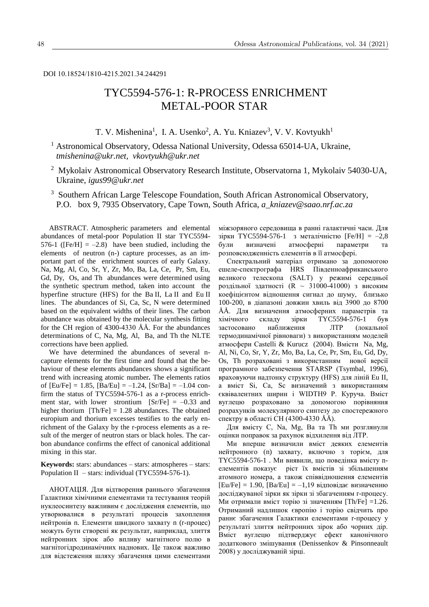DOI 10.18524/1810-4215.2021.34.244291

# TYC5594-576-1: R-PROCESS ENRICHMENT METAL-POOR STAR

T. V. Mishenina<sup>1</sup>, I. A. Usenko<sup>2</sup>, A. Yu. Kniazev<sup>3</sup>, V. V. Kovtyukh<sup>1</sup>

<sup>1</sup> Astronomical Observatory, Odessa National University, Odessa 65014-UA, Ukraine, *tmishenina@ukr.net, vkovtyukh@ukr.net*

- <sup>2</sup> Mykolaiv Astronomical Observatory Research Institute, Observatorna 1, Mykolaiv 54030-UA, Ukraine, *igus99@ukr.net*
- <sup>3</sup> Southern African Large Telescope Foundation, South African Astronomical Observatory, P.O. box 9, 7935 Observatory, Cape Town, South Africa, *a\_kniazev@saao.nrf.ac.za*

ABSTRACT. Atmospheric parameters and elemental abundances of metal-poor Population II star TYC5594- 576-1 ( $[Fe/H] = -2.8$ ) have been studied, including the elements of neutron (n-) capture processes, as an important part of the enrichment sources of early Galaxy. Na, Mg, Al, Co, Sr, Y, Zr, Mo, Ba, La, Ce, Pr, Sm, Eu, Gd, Dy, Os, and Th abundances were determined using the synthetic spectrum method, taken into account the hyperfine structure (HFS) for the Ba II, La II and Eu II lines. The abundances of Si, Ca, Sc, N were determined based on the equivalent widths of their lines. The carbon abundance was obtained by the molecular synthesis fitting for the CH region of 4300-4330 ÅÅ. For the abundances determinations of C, Na, Mg, Al, Ba, and Th the NLTE corrections have been applied.

We have determined the abundances of several ncapture elements for the first time and found that the behaviour of these elements abundances shows a significant trend with increasing atomic number*.* The elements ratios of  $[Eu/Fe] = 1.85$ ,  $[Ba/Eu] = -1.24$ ,  $[Sr/Ba] = -1.04$  confirm the status of TYC5594-576-1 as a r-process enrichment star, with lower strontium  $[Sr/Fe] = -0.33$  and higher thorium  $[Th/Fe] = 1.28$  abundances. The obtained europium and thorium excesses testifies to the early enrichment of the Galaxy by the r-process elements as a result of the merger of neutron stars or black holes. The carbon abundance confirms the effect of canonical additional mixing in this star.

**Keywords:** stars: abundances – stars: atmospheres – stars: Population II – stars: individual (TYC5594-576-1).

АНОТАЦІЯ. Для відтворення раннього збагачення Галактики хімічними елементами та тестування теорій нуклеосинтезу важливим є дослідження елементів, що утворювалися в результаті процесів захоплення нейтронів n. Елементи швидкого захвату n (r-процес) можуть бути створені як результат, наприклад, злиття нейтронних зірок або впливу магнітного полю в магнітогідродинамічних наднових. Це також важливо для відстеження шляху збагачення цими елементами

міжзоряного середовища в ранні галактичні часи. Для зірки ТҮС5594-576-1 з металічністю [Fe/H] =  $-2,8$ були визначені атмосферні параметри та розповсюдженність елементів в її атмосфері.

Спектральний матеріал отримано за допомогою ешеле-спектрографа HRS Південноафриканського великого телескопа (SALT) у режимі середньої роздільної здатності (R ~ 31000-41000) з високим коефіцієнтом відношення сигнал до шуму, близько 100-200, в діапазоні довжин хвиль від 3900 до 8700 ÅÅ. Для визначення атмосферних параметрів та хімічного складу зірки TYC5594-576-1 був застосовано наближення ЛТР (локальної термодинамічної рівноваги) з використанням моделей атмосфери Castelli & Kurucz (2004). Вмісти Na, Mg, Al, Ni, Co, Sr, Y, Zr, Mo, Ba, La, Ce, Pr, Sm, Eu, Gd, Dy, Os, Th розраховані з використанням нової версії програмного забезпечення STARSP (Tsymbal, 1996), враховуючи надтонку структуру (HFS) для ліній Eu II, а вміст Si, Ca, Sc визначений з використанням єквівалентних ширин і WIDTH9 Р. Куруча. Вміст вуглецю розраховано за допомогою порівняння розрахунків молекулярного синтезу до спостережного спектру в області СН (4300-4330 ÅÅ).

Для вмісту C, Na, Mg, Ba та Th ми розглянули оцінки поправок за рахунок відхилення від ЛТР.

Ми вперше визначили вміст деяких елементів нейтронного (n) захвату, включно з торієм, для TYC5594-576-1 . Ми виявили, що поведінка вмісту nелементів показує ріст їх вмістів зі збільшенням атомного номера, а також співвідношення елементів  $[Eu/Fe] = 1.90$ ,  $[Ba/Eu] = -1.19$  відповідає визначенню досліджуваної зірки як зірки зі збагаченням r-процесу. Ми отримали вміст торію зі значенням [Th/Fe] =1.26. Отриманий надлишок європію і торію свідчить про раннє збагачення Галактики елементами r-процесу у результаті злиття нейтронних зірок або чорних дір. Вміст вуглецю підтверджує ефект канонічного додаткового змішування (Denissenkov & Pinsonneault 2008) у досліджуваній зірці.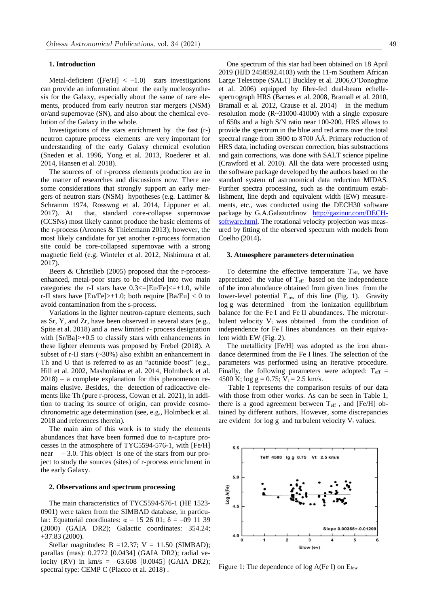#### **1. Introduction**

Metal-deficient ( $[Fe/H] < -1.0$ ) stars investigations can provide an information about the early nucleosynthesis for the Galaxy, especially about the same of rare elements, produced from early neutron star mergers (NSM) or/and supernovae (SN), and also about the chemical evolution of the Galaxy in the whole.

Investigations of the stars enrichment by the fast (r-) neutron capture process elements are very important for understanding of the early Galaxy chemical evolution (Sneden et al. 1996, Yong et al. 2013, Roederer et al. 2014, Hansen et al. 2018).

The sources of of r-process elements production are in the matter of researches and discussions now. There are some considerations that strongly support an early mergers of neutron stars (NSM) hypotheses (e.g. Lattimer & Schramm 1974, Rosswog et al. 2014, Lippuner et al. 2017). At that, standard core-collapse supernovae (CCSNs) most likely cannot produce the basic elements of the r-process (Arcones & Thielemann 2013); however, the most likely candidate for yet another r-process formation site could be core-collapsed supernovae with a strong magnetic field (e.g. Winteler et al. 2012, Nishimura et al. 2017).

Beers & Christlieb (2005) proposed that the r-processenhanced, metal-poor stars to be divided into two main categories: the r-I stars have  $0.3 \leq$  [Eu/Fe] $\leq$  +1.0, while r-II stars have  $|Eu/Fe|>+1.0$ ; both require  $|Ba/Eu| < 0$  to avoid contamination from the s-process.

Variations in the lighter neutron-capture elements, such as Sr, Y, and Zr, have been observed in several stars (e.g., Spite et al. 2018) and a new limited r- process designation with  $[Sr/Ba]$  >+0.5 to classify stars with enhancements in these lighter elements was proposed by Frebel (2018). A subset of r-II stars (~30%) also exhibit an enhancement in Th and U that is referred to as an "actinide boost" (e.g., Hill et al. 2002, Mashonkina et al. 2014, Holmbeck et al. 2018) – a complete explanation for this phenomenon remains elusive. Besides, the detection of radioactive elements like Th (pure r-process, Cowan et al. 2021), in addition to tracing its source of origin, can provide cosmochronometric age determination (see, e.g., Holmbeck et al. 2018 and references therein).

The main aim of this work is to study the elements abundances that have been formed due to n-capture processes in the atmosphere of TYC5594-576-1, with [Fe/H] near  $-3.0$ . This object is one of the stars from our project to study the sources (sites) of r-process enrichment in the early Galaxy.

#### **2. Observations and spectrum processing**

The main characteristics of TYC5594-576-1 (HE 1523- 0901) were taken from the SIMBAD database, in particular: Equatorial coordinates:  $\alpha = 15$  26 01; δ = -09 11 39 (2000) (GAIA DR2); Galactic coordinates: 354.24; +37.83 (2000).

Stellar magnitudes: B =12.37; V = 11.50 (SIMBAD); parallax (mas): 0.2772 [0.0434] (GAIA DR2); radial velocity (RV) in  $km/s = -63.608$  [0.0045] (GAIA DR2); spectral type: CEMP C (Placco et al. 2018) .

One spectrum of this star had been obtained on 18 April 2019 (HJD 2458592.4103) with the 11-m Southern African Large Telescope (SALT) Buckley et al. 2006,O'Donoghue et al. 2006) equipped by fibre-fed dual-beam echellespectrograph HRS (Barnes et al. 2008, Bramall et al. 2010, Bramall et al. 2012, Crause et al. 2014) in the medium resolution mode (R~31000-41000) with a single exposure of 650s and a high S/N ratio near 100-200. HRS allows to provide the spectrum in the blue and red arms over the total spectral range from 3900 to 8700 ÅÅ. Primary reduction of HRS data, including overscan correction, bias substractions and gain corrections, was done with SALT science pipeline (Crawford et al. 2010). All the data were processed using the software package developed by the authors based on the standard system of astronomical data reduction MIDAS. Further spectra processing, such as the continuum establishment, line depth and equivalent width (EW) measurements, etc., was conducted usi[ng the DECH30](http://gazinur.com/DECH-software.html) software [package by G](http://gazinur.com/DECH-software.html).A.Galazutdinov http://gazinur.com/DECHsoftware.html. The rotational velocity projection was measured by fitting of the observed spectrum with models from Coelho (2014)**.**

## **3. Atmosphere parameters determination**

To determine the effective temperature  $T_{\text{eff}}$ , we have appreciated the value of  $T_{\text{eff}}$  based on the independence of the iron abundance obtained from given lines from the lower-level potential E<sub>low</sub> of this line (Fig. 1). Gravity log g was determined from the ionization equilibrium balance for the Fe I and Fe II abundances. The microturbulent velocity  $V_t$  was obtained from the condition of independence for Fe I lines abundances on their equivalent width EW (Fig. 2).

The metallicity [Fe/H] was adopted as the iron abundance determined from the Fe I lines. The selection of the parameters was performed using an iterative procedure. Finally, the following parameters were adopted:  $T_{\text{eff}}$  = 4500 K;  $\log g = 0.75$ ;  $V_t = 2.5$  km/s.

Table 1 represents the comparison results of our data with those from other works. As can be seen in Table 1, there is a good agreement between  $T_{\text{eff}}$ , and [Fe/H] obtained by different authors. However, some discrepancies are evident for log g and turbulent velocity  $V_t$  values.



Figure 1: The dependence of  $log A(Fe I)$  on  $E_{low}$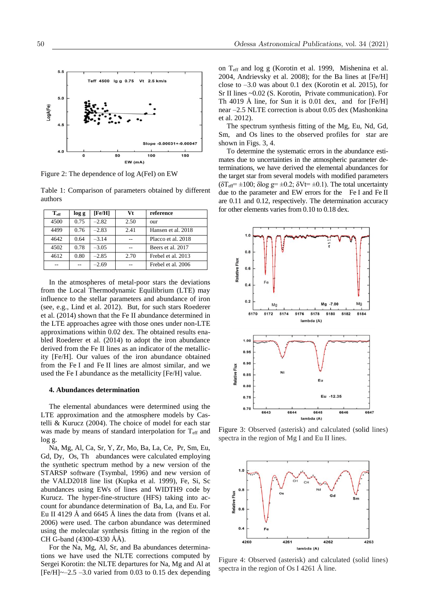

EW (mA)

Figure 2: The dependence of log A(FeI) on EW

4500

Table 1: Comparison of parameters obtained by different authors

| $T_{\rm eff}$ | log g | [Fe/H]  | Vt   | reference          |
|---------------|-------|---------|------|--------------------|
| 4500          | 0.75  | $-2.82$ | 2.50 | our                |
| 4499          | 0.76  | $-2.83$ | 2.41 | Hansen et al. 2018 |
| 4642          | 0.64  | $-3.14$ |      | Placco et al. 2018 |
| 4502          | 0.78  | $-3.05$ |      | Beers et al. 2017  |
| 4612          | 0.80  | $-2.85$ | 2.70 | Frebel et al. 2013 |
|               |       | $-2.69$ |      | Frebel et al. 2006 |

In the atmospheres of metal-poor stars the deviations from the Local Thermodynamic Equilibrium (LTE) may influence to the stellar parameters and abundance of iron (see, e.g., Lind et al. 2012). But, for such stars Roederer et al. (2014) shown that the Fe II abundance determined in the LTE approaches agree with those ones under non-LTE approximations within 0.02 dex. The obtained results enabled Roederer et al. (2014) to adopt the iron abundance derived from the Fe II lines as an indicator of the metallicity [Fe/H]. Our values of the iron abundance obtained from the Fe I and Fe II lines are almost similar, and we used the Fe I abundance as the metallicity [Fe/H] value.

#### **4. Abundances determination**

The elemental abundances were determined using the LTE approximation and the atmosphere models by Castelli & Kurucz (2004). The choice of model for each star was made by means of standard interpolation for T<sub>eff</sub> and log g.

Na, Mg, Al, Ca, Sr, Y, Zr, Mo, Ba, La, Ce, Pr, Sm, Eu, Gd, Dy, Os, Th abundances were calculated employing the synthetic spectrum method by a new version of the STARSP software (Tsymbal, 1996) and new version of the VALD2018 line list (Kupka et al. 1999), Fe, Si, Sc abundances using EWs of lines and WIDTH9 code by Kurucz. The hyper-fine-structure (HFS) taking into account for abundance determination of Ba, La, and Eu. For Eu II 4129 Å and 6645 Å lines the data from (Ivans et al. 2006) were used. The carbon abundance was determined using the molecular synthesis fitting in the region of the CH G-band (4300-4330 ÅÅ).

For the Na, Mg, Al, Sr, and Ba abundances determinations we have used the NLTE corrections computed by Sergei Korotin: the NLTE departures for Na, Mg and Al at  $[Fe/H] \sim -2.5 -3.0$  varied from 0.03 to 0.15 dex depending

on Teff and log g (Korotin et al. 1999, Mishenina et al. 2004, Andrievsky et al. 2008); for the Ba lines at [Fe/H] close to –3.0 was about 0.1 dex (Korotin et al*.* 2015), for Sr II lines ~0.02 (S. Korotin, Private communication). For Th 4019 Å line, for Sun it is 0.01 dex, and for [Fe/H] near –2.5 NLTE correction is about 0.05 dex (Mashonkina et al. 2012).

The spectrum synthesis fitting of the Mg, Eu, Nd, Gd, Sm, and Os lines to the observed profiles for star are shown in Figs. 3, 4.

To determine the systematic errors in the abundance estimates due to uncertainties in the atmospheric parameter determinations, we have derived the elemental abundances for the target star from several models with modified parameters  $(\delta T_{\text{eff}} = \pm 100; \delta \log g = \pm 0.2; \delta V = \pm 0.1)$ . The total uncertainty due to the parameter and EW errors for the Fe I and Fe II are 0.11 and 0.12, respectively. The determination accuracy for other elements varies from 0.10 to 0.18 dex.



Figure 3: Observed (asterisk) and calculated (solid lines) spectra in the region of Mg I and Eu II lines.



Figure 4: Observed (asterisk) and calculated (solid lines) spectra in the region of Os I 4261 Å line.

5

LogA(Fe)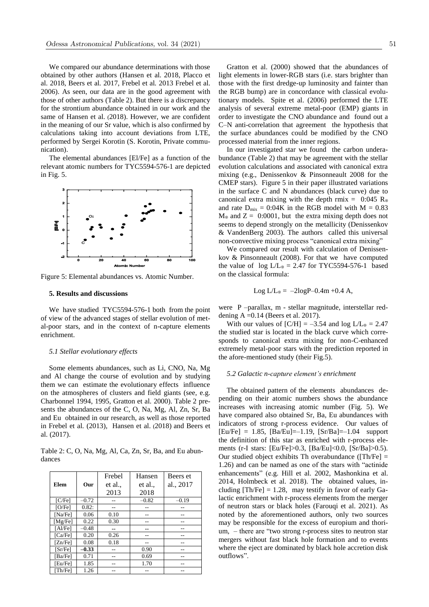We compared our abundance determinations with those obtained by other authors (Hansen et al*.* 2018, Placco et al. 2018, Beers et al*.* 2017, Frebel et al*.* 2013 Frebel et al. 2006). As seen, our data are in the good agreement with those of other authors (Table 2). But there is a discrepancy for the strontium abundance obtained in our work and the same of Hansen et al. (2018). However, we are confident in the meaning of our Sr value, which is also confirmed by calculations taking into account deviations from LTE, performed by Sergei Korotin (S. Korotin, Private communication).

The elemental abundances [El/Fe] as a function of the relevant atomic numbers for TYC5594-576-1 are depicted in Fig. 5.



Figure 5: Elemental abundances vs. Atomic Number.

## **5. Results and discussions**

We have studied TYC5594-576-1 both from the point of view of the advanced stages of stellar evolution of metal-poor stars, and in the context of n-capture elements enrichment.

#### *5.1 Stellar evolutionary effects*

Some elements abundances, such as Li, CNO, Na, Mg and Al change the course of evolution and by studying them we can estimate the evolutionary effects influence on the atmospheres of clusters and field giants (see, e.g. Charbonnel 1994, 1995, Gratton et al. 2000). Table 2 presents the abundances of the C, O, Na, Mg, Al, Zn, Sr, Ba and Eu obtained in our research, as well as those reported in Frebel et al*.* (2013), Hansen et al. (2018) and Beers et al. (2017).

Table 2: C, O, Na, Mg, Al, Ca, Zn, Sr, Ba, and Eu abundances

|                            |         | Frebel  | Hansen  | Beers et  |
|----------------------------|---------|---------|---------|-----------|
| Elem                       | Our     | et al., | et al., | al., 2017 |
|                            |         | 2013    | 2018    |           |
| [ <b>CF</b> <sub>e</sub> ] | $-0.72$ |         | $-0.82$ | $-0.19$   |
| [O/Fe]                     | 0.82:   |         |         |           |
| [Na/Fe]                    | 0.06    | 0.10    |         |           |
| [Mg/Fe]                    | 0.22    | 0.30    |         |           |
| [Al/Fe]                    | $-0.48$ |         |         |           |
| [Ca/Fe]                    | 0.20    | 0.26    |         |           |
| [Zn/Fe]                    | 0.08    | 0.18    |         |           |
| [Sr/Fe]                    | $-0.33$ |         | 0.90    |           |
| [Ba/Fe]                    | 0.71    |         | 0.69    |           |
| [Eu/Fe]                    | 1.85    |         | 1.70    |           |
| [Th/Fe]                    | 1.26    |         |         |           |

Gratton et al. (2000) showed that the abundances of light elements in lower-RGB stars (i.e. stars brighter than those with the first dredge-up luminosity and fainter than the RGB bump) are in concordance with classical evolutionary models. Spite et al. (2006) performed the LTE analysis of several extreme metal-poor (EMP) giants in order to investigate the CNO abundance and found out a C–N anti-correlation that agreement the hypothesis that the surface abundances could be modified by the CNO processed material from the inner regions.

In our investigated star we found the carbon underabundance (Table 2) that may be agreement with the stellar evolution calculations and associated with canonical extra mixing (e.g., Denissenkov & Pinsonneault 2008 for the CMEP stars). Figure 5 in their paper illustrated variations in the surface C and N abundances (black curve) due to canonical extra mixing with the depth rmix =  $0:045$  R<sup>o</sup> and rate  $D_{mix} = 0.04K$  in the RGB model with  $M = 0.83$  $M_{\odot}$  and  $Z = 0:0001$ , but the extra mixing depth does not seems to depend strongly on the metallicity (Denissenkov & VandenBerg 2003). The authors called this universal non-convective mixing process "canonical extra mixing"

We compared our result with calculation of Denissenkov & Pinsonneault (2008). For that we have computed the value of  $log L/L_{\odot} = 2.47$  for TYC5594-576-1 based on the classical formula:

$$
Log L/L_{\odot} = -2logP - 0.4m + 0.4 A,
$$

were P –parallax, m - stellar magnitude, interstellar reddening  $A = 0.14$  (Beers et al. 2017).

With our values of  $[CH] = -3.54$  and  $\log L/L_{\odot} = 2.47$ the studied star is located in the black curve which corresponds to canonical extra mixing for non-C-enhanced extremely metal-poor stars with the prediction reported in the afore-mentioned study (their Fig.5).

## *5.2 Galactic n-capture element's enrichment*

The obtained pattern of the elements abundances depending on their atomic numbers shows the abundance increases with increasing atomic number (Fig. 5). We have compared also obtained Sr, Ba, Eu abundances with indicators of strong r-process evidence. Our values of  $[Eu/Fe] = 1.85$ ,  $[Ba/Eu] = -1.19$ ,  $[Sr/Ba] = -1.04$  support the definition of this star as enriched with r-process elements (r-I stars: [Eu/Fe]>0.3, [Ba/Eu]<0.0, [Sr/Ba]>0.5). Our studied object exhibits Th overabundance ([Th/Fe] = 1.26) and can be named as one of the stars with "actinide enhancements" (e.g. Hill et al. 2002, Mashonkina et al. 2014, Holmbeck et al. 2018). The obtained values, including  $[Th/Fe] = 1.28$ , may testify in favor of early Galactic enrichment with r-process elements from the merger of neutron stars or black holes (Farouqi et al. 2021). As noted by the aforementioned authors, only two sources may be responsible for the excess of europium and thorium, – there are "two strong r-process sites to neutron star mergers without fast black hole formation and to events where the eject are dominated by black hole accretion disk outflows".